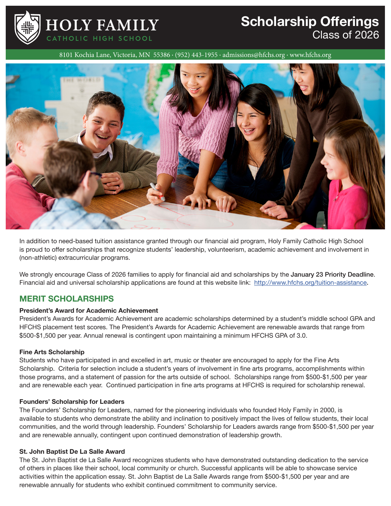

## **Scholarship Offerings**  Class of 2026

8101 Kochia Lane, Victoria, MN 55386 · (952) 443-1955 · admissions@hfchs.org · www.hfchs.org



In addition to need-based tuition assistance granted through our financial aid program, Holy Family Catholic High School is proud to offer scholarships that recognize students' leadership, volunteerism, academic achievement and involvement in (non-athletic) extracurricular programs.

We strongly encourage Class of 2026 families to apply for financial aid and scholarships by the January 23 Priority Deadline. Financial aid and universal scholarship applications are found at this website link: http://www.hfchs.org/tuition-assistance**.** 

### **MERIT SCHOLARSHIPS**

### **President's Award for Academic Achievement**

President's Awards for Academic Achievement are academic scholarships determined by a student's middle school GPA and HFCHS placement test scores. The President's Awards for Academic Achievement are renewable awards that range from \$500-\$1,500 per year. Annual renewal is contingent upon maintaining a minimum HFCHS GPA of 3.0.

### **Fine Arts Scholarship**

Students who have participated in and excelled in art, music or theater are encouraged to apply for the Fine Arts Scholarship. Criteria for selection include a student's years of involvement in fine arts programs, accomplishments within those programs, and a statement of passion for the arts outside of school. Scholarships range from \$500-\$1,500 per year and are renewable each year. Continued participation in fine arts programs at HFCHS is required for scholarship renewal.

### **Founders' Scholarship for Leaders**

The Founders' Scholarship for Leaders, named for the pioneering individuals who founded Holy Family in 2000, is available to students who demonstrate the ability and inclination to positively impact the lives of fellow students, their local communities, and the world through leadership. Founders' Scholarship for Leaders awards range from \$500-\$1,500 per year and are renewable annually, contingent upon continued demonstration of leadership growth.

### **St. John Baptist De La Salle Award**

The St. John Baptist de La Salle Award recognizes students who have demonstrated outstanding dedication to the service of others in places like their school, local community or church. Successful applicants will be able to showcase service activities within the application essay. St. John Baptist de La Salle Awards range from \$500-\$1,500 per year and are renewable annually for students who exhibit continued commitment to community service.